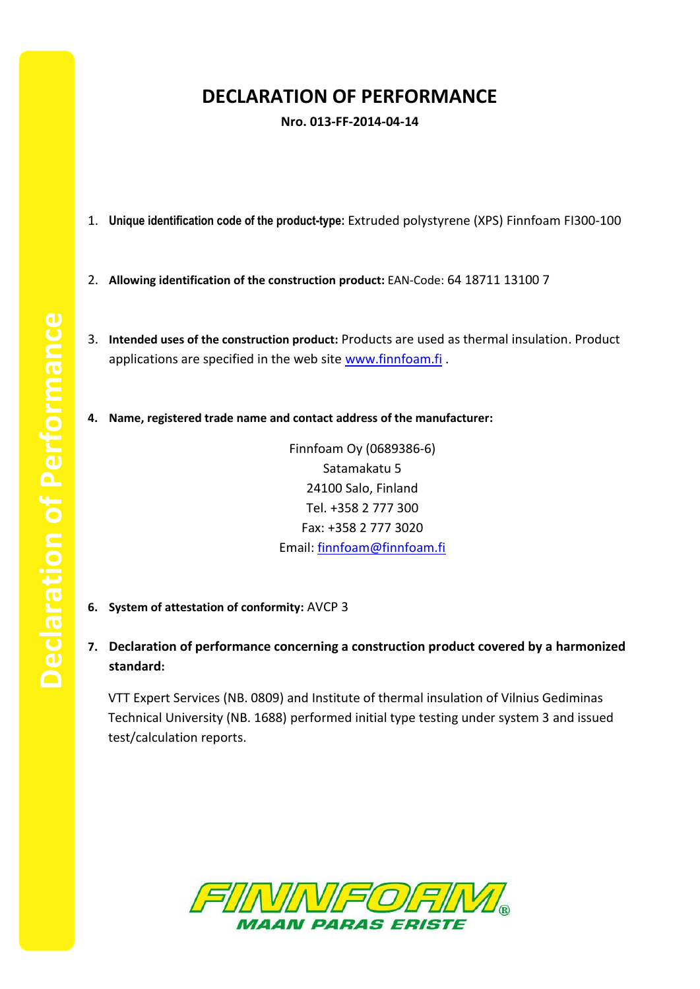## **DECLARATION OF PERFORMANCE**

**Nro. 013-FF-2014-04-14**

- 1. **Unique identification code of the product-type:** Extruded polystyrene (XPS) Finnfoam FI300-100
- 2. **Allowing identification of the construction product:** EAN-Code: 64 18711 13100 7
- 3. **Intended uses of the construction product:** Products are used as thermal insulation. Product applications are specified in the web site [www.finnfoam.fi](http://www.finnfoam.fi/).
- **4. Name, registered trade name and contact address of the manufacturer:**

Finnfoam Oy (0689386-6) Satamakatu 5 24100 Salo, Finland Tel. +358 2 777 300 Fax: +358 2 777 3020 Email: [finnfoam@finnfoam.fi](mailto:finnfoam@finnfoam.fi)

- **6. System of attestation of conformity:** AVCP 3
- **7. Declaration of performance concerning a construction product covered by a harmonized standard:**

VTT Expert Services (NB. 0809) and Institute of thermal insulation of Vilnius Gediminas Technical University (NB. 1688) performed initial type testing under system 3 and issued test/calculation reports.